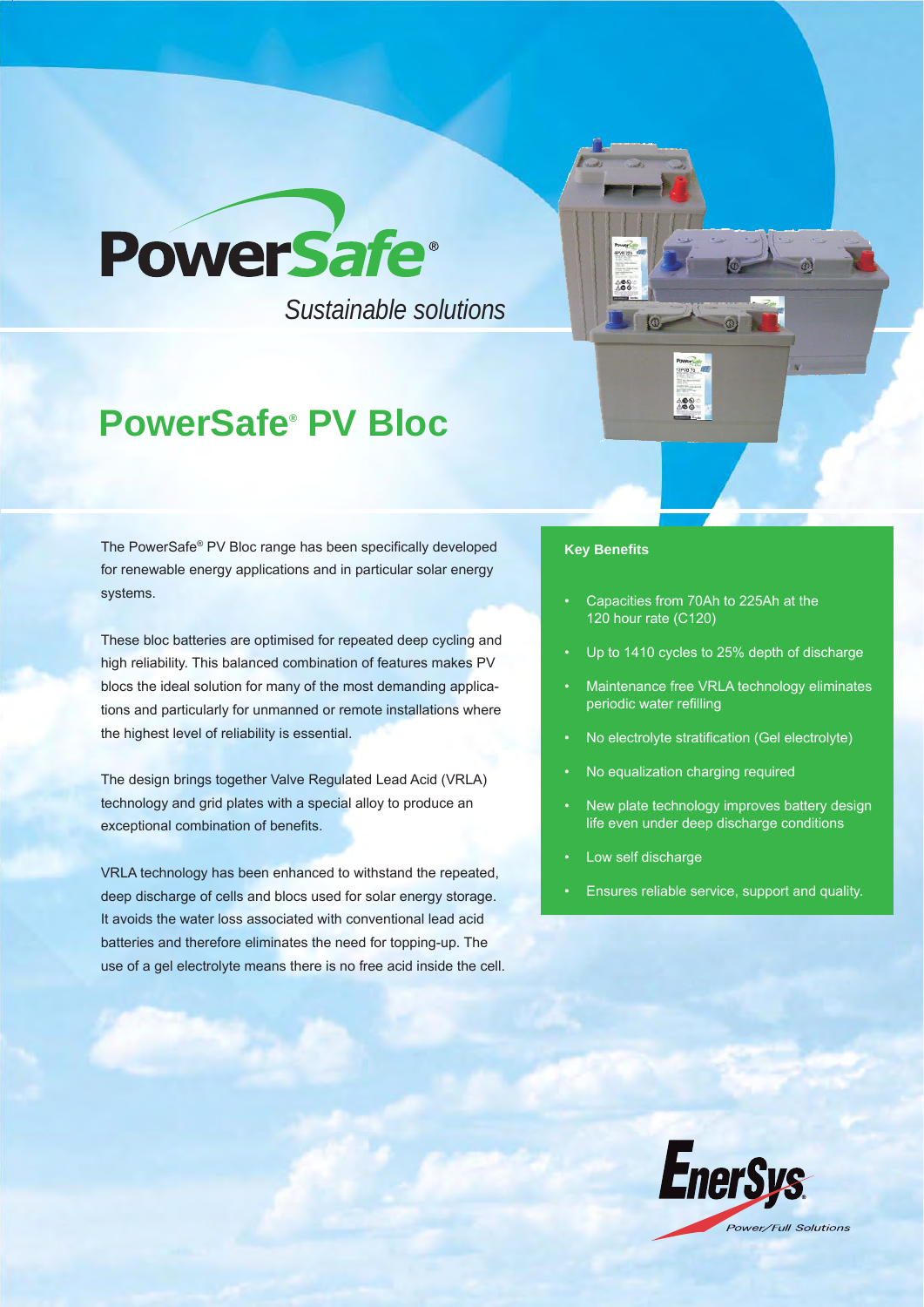

*Sustainable solutions*

# **PowerSafe® PV Bloc**

The PowerSafe® PV Bloc range has been specifically developed for renewable energy applications and in particular solar energy systems.

These bloc batteries are optimised for repeated deep cycling and high reliability. This balanced combination of features makes PV blocs the ideal solution for many of the most demanding applications and particularly for unmanned or remote installations where the highest level of reliability is essential.

The design brings together Valve Regulated Lead Acid (VRLA) technology and grid plates with a special alloy to produce an exceptional combination of benefits.

VRLA technology has been enhanced to withstand the repeated, deep discharge of cells and blocs used for solar energy storage. It avoids the water loss associated with conventional lead acid batteries and therefore eliminates the need for topping-up. The use of a gel electrolyte means there is no free acid inside the cell.

## **Key Benefi ts**

8

• Capacities from 70Ah to 225Ah at the 120 hour rate (C120)

488

- Up to 1410 cycles to 25% depth of discharge
- Maintenance free VRLA technology eliminates periodic water refilling
- No electrolyte stratification (Gel electrolyte)
- No equalization charging required
- New plate technology improves battery design life even under deep discharge conditions
- Low self discharge
- Ensures reliable service, support and quality.

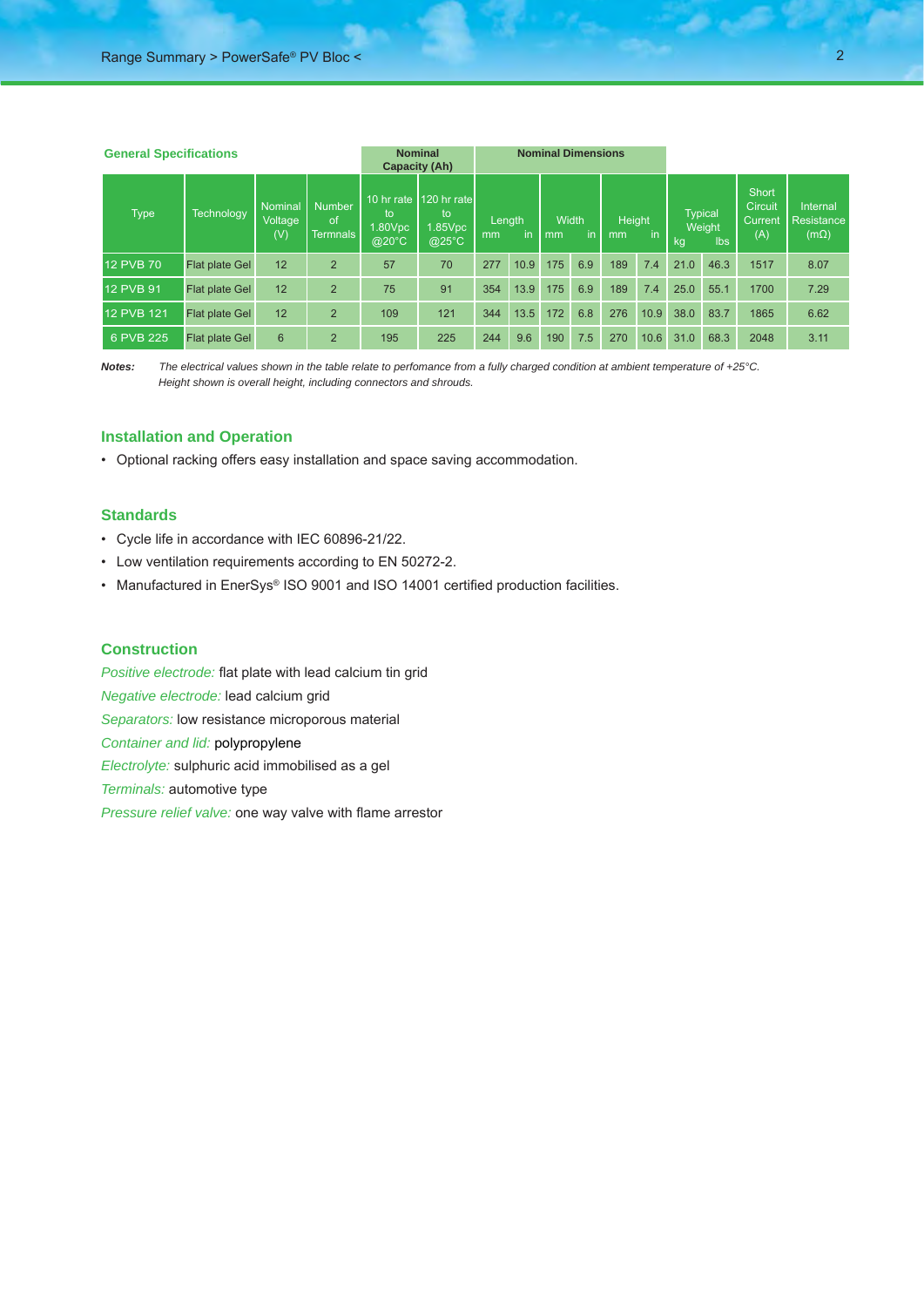| <b>General Specifications</b> |                       |                           |                                         | <b>Nominal</b><br><b>Capacity (Ah)</b>        |                                                        | <b>Nominal Dimensions</b> |      |                   |     |                           |      |                                       |      |                                                  |                                       |
|-------------------------------|-----------------------|---------------------------|-----------------------------------------|-----------------------------------------------|--------------------------------------------------------|---------------------------|------|-------------------|-----|---------------------------|------|---------------------------------------|------|--------------------------------------------------|---------------------------------------|
| <b>Type</b>                   | Technology            | Nominal<br>Voltage<br>(V) | <b>Number</b><br>$\alpha$ f<br>Termnals | 10 hr rate<br>to<br>$1.80$ Vpc<br>$@^{20}$ °C | <b>120 hr rate</b><br>to<br>1.85Vpc<br>$Q25^{\circ}$ C | Length<br>in<br>mm        |      | Width<br>in<br>mm |     | <b>Height</b><br>in<br>mm |      | <b>Typical</b><br>Weight<br>lbs<br>kg |      | <b>Short</b><br><b>Circuit</b><br>Current<br>(A) | Internal<br>Resistance<br>$(m\Omega)$ |
| <b>12 PVB 70</b>              | <b>Flat plate Gel</b> | 12                        | $\overline{2}$                          | 57                                            | 70                                                     | 277                       | 10.9 | 175               | 6.9 | 189                       | 7.4  | 21.0                                  | 46.3 | 1517                                             | 8.07                                  |
| <b>12 PVB 91</b>              | <b>Flat plate Gel</b> | 12                        | $\overline{2}$                          | 75                                            | 91                                                     | 354                       | 13.9 | 175               | 6.9 | 189                       | 7.4  | 25.0                                  | 55.1 | 1700                                             | 7.29                                  |
| 12 PVB 121                    | Flat plate Gel        | 12                        | $\overline{2}$                          | 109                                           | 121                                                    | 344                       | 13.5 | 172               | 6.8 | 276                       | 10.9 | 38.0                                  | 83.7 | 1865                                             | 6.62                                  |
| 6 PVB 225                     | <b>Flat plate Gel</b> | 6                         | $\overline{2}$                          | 195                                           | 225                                                    | 244                       | 9.6  | 190               | 7.5 | 270                       | 10.6 | 31.0                                  | 68.3 | 2048                                             | 3.11                                  |

*Notes: The electrical values shown in the table relate to perfomance from a fully charged condition at ambient temperature of +25°C. Height shown is overall height, including connectors and shrouds.*

### **Installation and Operation**

• Optional racking offers easy installation and space saving accommodation.

### **Standards**

- Cycle life in accordance with IEC 60896-21/22.
- Low ventilation requirements according to EN 50272-2.
- Manufactured in EnerSys® ISO 9001 and ISO 14001 certified production facilities.

#### **Construction**

*Positive electrode:* flat plate with lead calcium tin grid *Negative electrode:* lead calcium grid *Separators:* low resistance microporous material *Container and lid:* polypropylene *Electrolyte:* sulphuric acid immobilised as a gel *Terminals:* automotive type *Pressure relief valve:* one way valve with flame arrestor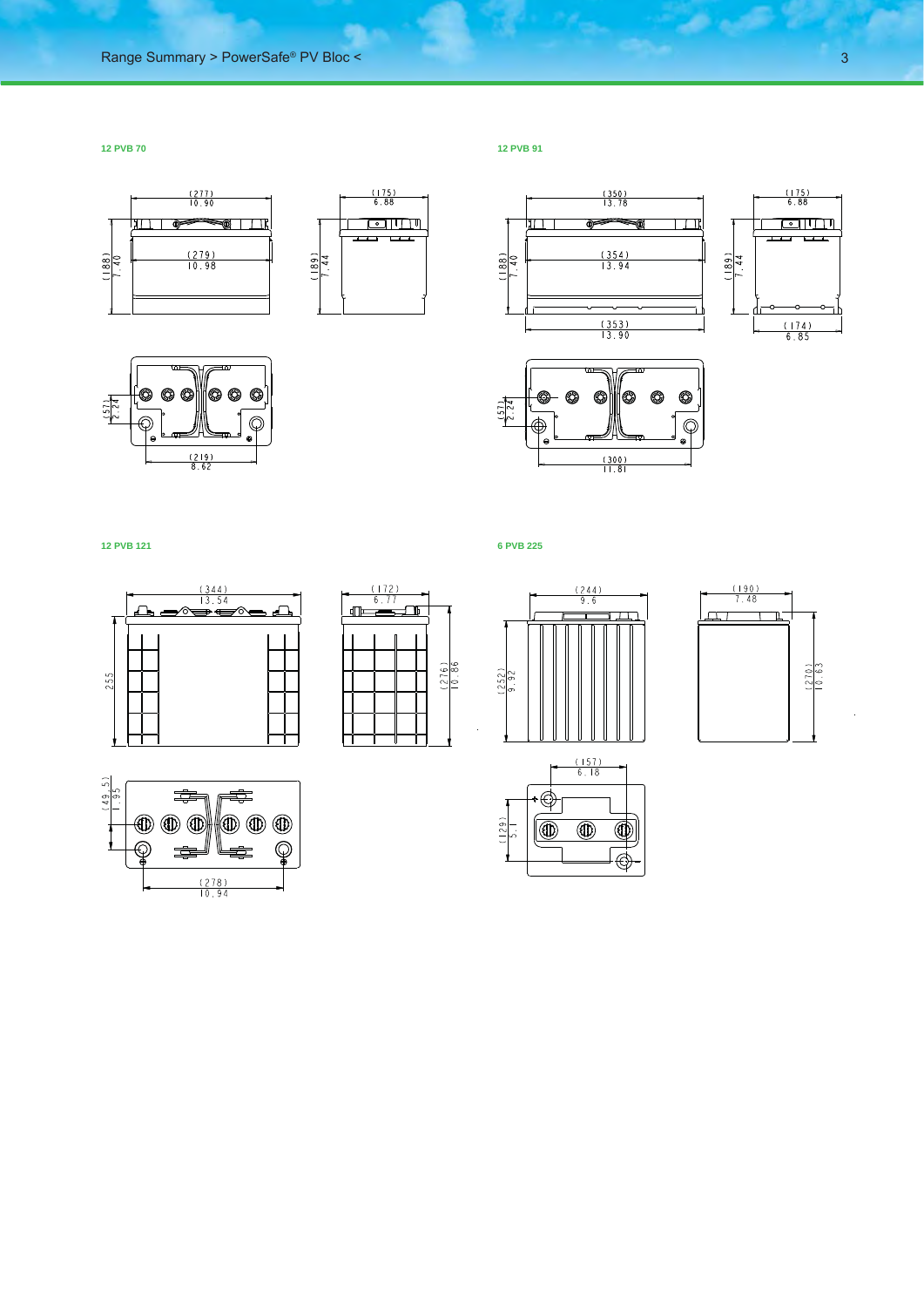**12 PVB 70 12 PVB 91**











 $\frac{(188)}{1.40}$ 



 $\frac{(350)}{13.78}$ 



المتعارض



**12 PVB 121 6 PVB 225**